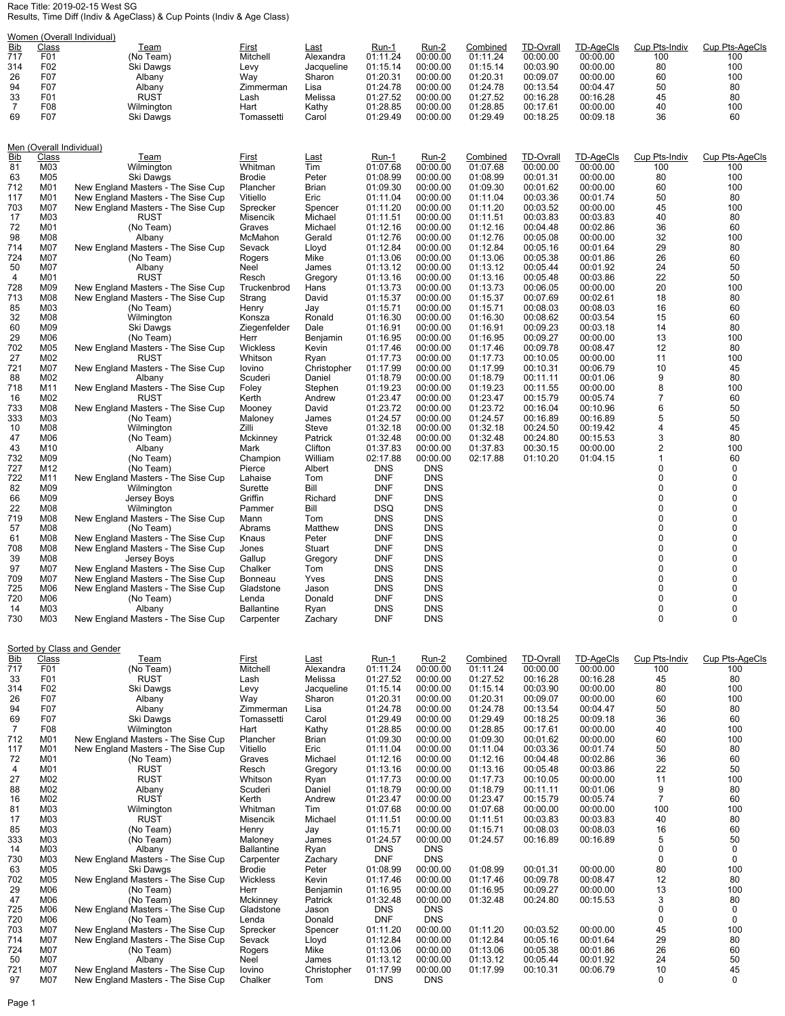## Race Title: 2019-02-15 West SG Results, Time Diff (Indiv & AgeClass) & Cup Points (Indiv & Age Class)

| Women (Overall Individual) |              |                                                                          |                                |                       |                          |                          |                      |                              |                       |                      |                       |
|----------------------------|--------------|--------------------------------------------------------------------------|--------------------------------|-----------------------|--------------------------|--------------------------|----------------------|------------------------------|-----------------------|----------------------|-----------------------|
| <b>Bib</b><br>717          | Class<br>F01 | Team<br>(No Team)                                                        | First<br>Mitchell              | Last<br>Alexandra     | Run-1<br>01:11.24        | Run-2<br>00:00.00        | Combined<br>01:11.24 | <b>TD-Ovrall</b><br>00:00.00 | TD-AgeCls<br>00:00.00 | Cup Pts-Indiv<br>100 | Cup Pts-AgeCls<br>100 |
| 314                        | F02          | Ski Dawgs                                                                | Levy                           | Jacqueline            | 01:15.14                 | 00:00.00                 | 01:15.14             | 00:03.90                     | 00:00.00              | 80                   | 100                   |
| 26                         | F07          | Albany                                                                   | Way                            | Sharon                | 01:20.31                 | 00:00.00                 | 01:20.31             | 00:09.07                     | 00:00.00              | 60                   | 100                   |
| 94                         | F07          | Albany                                                                   | Zimmerman                      | Lisa                  | 01:24.78                 | 00:00.00                 | 01:24.78             | 00:13.54                     | 00:04.47              | 50                   | 80                    |
| 33<br>7                    | F01<br>F08   | <b>RUST</b><br>Wilmington                                                | Lash<br>Hart                   | Melissa<br>Kathy      | 01:27.52<br>01:28.85     | 00:00.00<br>00:00.00     | 01:27.52<br>01:28.85 | 00:16.28<br>00:17.61         | 00:16.28<br>00:00.00  | 45<br>40             | 80<br>100             |
| 69                         | F07          | Ski Dawgs                                                                | Tomassetti                     | Carol                 | 01:29.49                 | 00:00.00                 | 01:29.49             | 00:18.25                     | 00:09.18              | 36                   | 60                    |
|                            |              |                                                                          |                                |                       |                          |                          |                      |                              |                       |                      |                       |
|                            |              | Men (Overall Individual)                                                 |                                |                       |                          |                          |                      |                              |                       |                      |                       |
| <u>Bib</u>                 | <u>Class</u> | <u>Team</u>                                                              | <u>First</u>                   | <b>Last</b>           | <u>Run-1</u>             | <u>Run-2</u>             | Combined             | <b>TD-Ovrall</b>             | <b>TD-AgeCls</b>      | Cup Pts-Indiv        | Cup Pts-AgeCls        |
| 81                         | M03          | Wilmington                                                               | Whitman                        | Tim                   | 01:07.68                 | 00:00.00                 | 01:07.68             | 00:00.00                     | 00:00.00              | 100                  | 100                   |
| 63<br>712                  | M05<br>M01   | Ski Dawgs                                                                | Brodie                         | Peter                 | 01:08.99                 | 00:00.00                 | 01:08.99             | 00:01.31<br>00:01.62         | 00:00.00              | 80<br>60             | 100<br>100            |
| 117                        | M01          | New England Masters - The Sise Cup<br>New England Masters - The Sise Cup | Plancher<br>Vitiello           | Brian<br>Eric         | 01:09.30<br>01:11.04     | 00:00.00<br>00:00.00     | 01:09.30<br>01:11.04 | 00:03.36                     | 00:00.00<br>00:01.74  | 50                   | 80                    |
| 703                        | M07          | New England Masters - The Sise Cup                                       | Sprecker                       | Spencer               | 01:11.20                 | 00:00.00                 | 01:11.20             | 00:03.52                     | 00:00.00              | 45                   | 100                   |
| 17                         | M03          | RUST                                                                     | Misencik                       | Michael               | 01:11.51                 | 00:00.00                 | 01:11.51             | 00:03.83                     | 00:03.83              | 40                   | 80                    |
| 72<br>98                   | M01<br>M08   | (No Team)                                                                | Graves<br>McMahon              | Michael<br>Gerald     | 01:12.16<br>01:12.76     | 00:00.00<br>00:00.00     | 01:12.16<br>01:12.76 | 00:04.48<br>00:05.08         | 00:02.86<br>00:00.00  | 36<br>32             | 60<br>100             |
| 714                        | M07          | Albany<br>New England Masters - The Sise Cup                             | Sevack                         | Lloyd                 | 01:12.84                 | 00:00.00                 | 01:12.84             | 00:05.16                     | 00:01.64              | 29                   | 80                    |
| 724                        | M07          | (No Team)                                                                | Rogers                         | Mike                  | 01:13.06                 | 00:00.00                 | 01:13.06             | 00:05.38                     | 00:01.86              | 26                   | 60                    |
| 50                         | M07          | Albany                                                                   | Neel                           | James                 | 01:13.12                 | 00:00.00                 | 01:13.12             | 00:05.44                     | 00:01.92              | 24                   | 50                    |
| 4<br>728                   | M01<br>M09   | <b>RUST</b><br>New England Masters - The Sise Cup                        | Resch<br>Truckenbrod           | Gregory<br>Hans       | 01:13.16<br>01:13.73     | 00:00.00<br>00:00.00     | 01:13.16<br>01:13.73 | 00:05.48<br>00:06.05         | 00:03.86<br>00:00.00  | 22<br>20             | 50<br>100             |
| 713                        | M08          | New England Masters - The Sise Cup                                       | Strang                         | David                 | 01:15.37                 | 00:00.00                 | 01:15.37             | 00:07.69                     | 00:02.61              | 18                   | 80                    |
| 85                         | M03          | (No Team)                                                                | Henry                          | Jay                   | 01:15.71                 | 00:00.00                 | 01:15.71             | 00:08.03                     | 00:08.03              | 16                   | 60                    |
| 32                         | M08          | Wilmington                                                               | Konsza                         | Ronald                | 01:16.30                 | 00:00.00                 | 01:16.30             | 00:08.62                     | 00:03.54              | 15                   | 60                    |
| 60<br>29                   | M09<br>M06   | Ski Dawgs<br>(No Team)                                                   | Ziegenfelder<br>Herr           | Dale<br>Benjamin      | 01:16.91<br>01:16.95     | 00:00.00<br>00:00.00     | 01:16.91<br>01:16.95 | 00:09.23<br>00:09.27         | 00:03.18<br>00:00.00  | 14<br>13             | 80<br>100             |
| 702                        | M05          | New England Masters - The Sise Cup                                       | Wickless                       | Kevin                 | 01:17.46                 | 00:00.00                 | 01:17.46             | 00:09.78                     | 00:08.47              | 12                   | 80                    |
| 27                         | M02          | <b>RUST</b>                                                              | Whitson                        | Ryan                  | 01:17.73                 | 00:00.00                 | 01:17.73             | 00:10.05                     | 00:00.00              | 11                   | 100                   |
| 721<br>88                  | M07<br>M02   | New England Masters - The Sise Cup<br>Albany                             | lovino<br>Scuderi              | Christopher<br>Daniel | 01:17.99<br>01:18.79     | 00:00.00<br>00:00.00     | 01:17.99<br>01:18.79 | 00:10.31<br>00:11.11         | 00:06.79<br>00:01.06  | 10<br>9              | 45<br>80              |
| 718                        | M11          | New England Masters - The Sise Cup                                       | Foley                          | Stephen               | 01:19.23                 | 00:00.00                 | 01:19.23             | 00:11.55                     | 00:00.00              | 8                    | 100                   |
| 16                         | M02          | RUST                                                                     | Kerth                          | Andrew                | 01:23.47                 | 00:00.00                 | 01:23.47             | 00:15.79                     | 00:05.74              | 7                    | 60                    |
| 733                        | M08          | New England Masters - The Sise Cup                                       | Mooney                         | David                 | 01:23.72                 | 00:00.00                 | 01:23.72             | 00:16.04                     | 00:10.96              | 6                    | 50                    |
| 333<br>10                  | M03<br>M08   | (No Team)<br>Wilmington                                                  | Maloney<br>Zilli               | James<br>Steve        | 01:24.57<br>01:32.18     | 00:00.00<br>00:00.00     | 01:24.57<br>01:32.18 | 00:16.89<br>00:24.50         | 00:16.89<br>00:19.42  | 5<br>4               | 50<br>45              |
| 47                         | M06          | (No Team)                                                                | Mckinney                       | Patrick               | 01:32.48                 | 00:00.00                 | 01:32.48             | 00:24.80                     | 00:15.53              | 3                    | 80                    |
| 43                         | M10          | Albany                                                                   | Mark                           | Clifton               | 01:37.83                 | 00:00.00                 | 01:37.83             | 00:30.15                     | 00:00.00              | 2                    | 100                   |
| 732                        | M09          | (No Team)                                                                | Champion                       | William               | 02:17.88                 | 00:00.00                 | 02:17.88             | 01:10.20                     | 01:04.15              | $\mathbf{1}$         | 60                    |
| 727<br>722                 | M12<br>M11   | (No Team)<br>New England Masters - The Sise Cup                          | Pierce<br>Lahaise              | Albert<br>Tom         | <b>DNS</b><br><b>DNF</b> | <b>DNS</b><br><b>DNS</b> |                      |                              |                       | 0<br>$\mathbf 0$     | 0<br>$\mathbf 0$      |
| 82                         | M09          | Wilmington                                                               | Surette                        | Bill                  | <b>DNF</b>               | <b>DNS</b>               |                      |                              |                       | 0                    | $\mathbf 0$           |
| 66                         | M09          | Jersey Boys                                                              | Griffin                        | Richard               | <b>DNF</b>               | <b>DNS</b>               |                      |                              |                       | 0                    | $\mathbf 0$           |
| 22<br>719                  | M08<br>M08   | Wilmington                                                               | Pammer                         | Bill                  | <b>DSQ</b><br>DNS        | <b>DNS</b><br><b>DNS</b> |                      |                              |                       | 0<br>0               | $\mathbf 0$<br>0      |
| 57                         | M08          | New England Masters - The Sise Cup<br>(No Team)                          | Mann<br>Abrams                 | Tom<br>Matthew        | <b>DNS</b>               | <b>DNS</b>               |                      |                              |                       | 0                    | $\mathbf 0$           |
| 61                         | M08          | New England Masters - The Sise Cup                                       | Knaus                          | Peter                 | <b>DNF</b>               | <b>DNS</b>               |                      |                              |                       | 0                    | $\mathbf 0$           |
| 708                        | M08          | New England Masters - The Sise Cup                                       | Jones                          | Stuart                | <b>DNF</b>               | <b>DNS</b>               |                      |                              |                       | 0                    | $\mathbf 0$           |
| 39<br>97                   | M08<br>M07   | Jersey Boys<br>New England Masters - The Sise Cup                        | Gallup<br>Chalker              | Gregory<br>Tom        | <b>DNF</b><br><b>DNS</b> | <b>DNS</b><br><b>DNS</b> |                      |                              |                       | 0<br>0               | 0<br>$\mathbf 0$      |
| 709                        | M07          | New England Masters - The Sise Cup                                       | Bonneau                        | Yves                  | DNS                      | <b>DNS</b>               |                      |                              |                       | 0                    | $\mathbf 0$           |
| 725                        | M06          | New England Masters - The Sise Cup                                       | Gladstone                      | Jason                 | DNS                      | <b>DNS</b>               |                      |                              |                       | 0                    | $\Omega$              |
| 720                        | M06          | (No Team)                                                                | Lenda                          | Donald                | <b>DNF</b>               | <b>DNS</b>               |                      |                              |                       | 0                    | $\mathbf 0$           |
| 14<br>730                  | M03<br>M03   | Albany<br>New England Masters - The Sise Cup                             | <b>Ballantine</b><br>Carpenter | Ryan<br>Zachary       | DNS<br><b>DNF</b>        | <b>DNS</b><br><b>DNS</b> |                      |                              |                       | 0<br>0               | 0<br>$\mathbf 0$      |
|                            |              |                                                                          |                                |                       |                          |                          |                      |                              |                       |                      |                       |
|                            |              |                                                                          |                                |                       |                          |                          |                      |                              |                       |                      |                       |
| Bib                        | Class        | Sorted by Class and Gender<br>Team                                       | <u>First</u>                   | Last                  | Run-1                    | Run-2                    | Combined             | <b>TD-Ovrall</b>             | TD-AgeCls             | Cup Pts-Indiv        | Cup Pts-AgeCls        |
| 717                        | F01          | (No Team)                                                                | Mitchell                       | Alexandra             | 01:11.24                 | 00:00.00                 | 01:11.24             | 00:00.00                     | 00:00.00              | 100                  | 100                   |
| 33                         | F01          | <b>RUST</b>                                                              | Lash                           | Melissa               | 01:27.52                 | 00:00.00                 | 01:27.52             | 00:16.28                     | 00:16.28              | 45                   | 80                    |
| 314<br>26                  | F02<br>F07   | Ski Dawgs<br>Albany                                                      | Levy<br>Way                    | Jacqueline<br>Sharon  | 01:15.14<br>01:20.31     | 00:00.00<br>00:00.00     | 01:15.14<br>01:20.31 | 00:03.90<br>00:09.07         | 00:00.00<br>00:00.00  | 80<br>60             | 100<br>100            |
| 94                         | F07          | Albany                                                                   | Zimmerman                      | Lisa                  | 01:24.78                 | 00:00.00                 | 01:24.78             | 00:13.54                     | 00:04.47              | 50                   | 80                    |
| 69                         | F07          | Ski Dawgs                                                                | Tomassetti                     | Carol                 | 01:29.49                 | 00:00.00                 | 01:29.49             | 00:18.25                     | 00:09.18              | 36                   | 60                    |
| 7                          | F08          | Wilmington<br>New England Masters - The Sise Cup                         | Hart                           | Kathy                 | 01:28.85                 | 00:00.00                 | 01:28.85             | 00:17.61                     | 00:00.00<br>00:00.00  | 40                   | 100<br>100            |
| 712<br>117                 | M01<br>M01   | New England Masters - The Sise Cup                                       | Plancher<br>Vitiello           | Brian<br>Eric         | 01:09.30<br>01:11.04     | 00:00.00<br>00:00.00     | 01:09.30<br>01:11.04 | 00:01.62<br>00:03.36         | 00:01.74              | 60<br>50             | 80                    |
| 72                         | M01          | (No Team)                                                                | Graves                         | Michael               | 01:12.16                 | 00:00.00                 | 01:12.16             | 00:04.48                     | 00:02.86              | 36                   | 60                    |
| 4                          | M01          | <b>RUST</b>                                                              | Resch                          | Gregory               | 01:13.16                 | 00:00.00                 | 01:13.16             | 00:05.48                     | 00:03.86              | 22                   | 50                    |
| 27<br>88                   | M02<br>M02   | <b>RUST</b><br>Albany                                                    | Whitson<br>Scuderi             | Ryan<br>Daniel        | 01:17.73<br>01:18.79     | 00:00.00<br>00:00.00     | 01:17.73<br>01:18.79 | 00:10.05<br>00:11.11         | 00:00.00<br>00:01.06  | 11<br>9              | 100<br>80             |
| 16                         | M02          | <b>RUST</b>                                                              | Kerth                          | Andrew                | 01:23.47                 | 00:00.00                 | 01:23.47             | 00:15.79                     | 00:05.74              | $\overline{7}$       | 60                    |
| 81                         | M03          | Wilmington                                                               | Whitman                        | Tim                   | 01:07.68                 | 00:00.00                 | 01:07.68             | 00:00.00                     | 00:00.00              | 100                  | 100                   |
| 17                         | M03          | <b>RUST</b>                                                              | Misencik                       | Michael               | 01:11.51                 | 00:00.00                 | 01:11.51             | 00:03.83                     | 00:03.83              | 40                   | 80                    |
| 85<br>333                  | M03<br>M03   | (No Team)<br>(No Team)                                                   | Henry<br>Maloney               | Jay<br>James          | 01:15.71<br>01:24.57     | 00:00.00<br>00:00.00     | 01:15.71<br>01:24.57 | 00:08.03<br>00:16.89         | 00:08.03<br>00:16.89  | 16<br>5              | 60<br>50              |
| 14                         | M03          | Albany                                                                   | <b>Ballantine</b>              | Ryan                  | <b>DNS</b>               | <b>DNS</b>               |                      |                              |                       | 0                    | 0                     |
| 730                        | M03          | New England Masters - The Sise Cup                                       | Carpenter                      | Zachary               | <b>DNF</b>               | <b>DNS</b>               |                      |                              |                       | 0                    | 0                     |
| 63                         | M05          | Ski Dawgs                                                                | Brodie                         | Peter                 | 01:08.99                 | 00:00.00                 | 01:08.99             | 00:01.31                     | 00:00.00              | 80                   | 100                   |
| 702<br>29                  | M05<br>M06   | New England Masters - The Sise Cup<br>(No Team)                          | Wickless<br>Herr               | Kevin<br>Benjamin     | 01:17.46<br>01:16.95     | 00:00.00<br>00:00.00     | 01:17.46<br>01:16.95 | 00:09.78<br>00:09.27         | 00:08.47<br>00:00.00  | 12<br>13             | 80<br>100             |
| 47                         | M06          | (No Team)                                                                | Mckinney                       | Patrick               | 01:32.48                 | 00:00.00                 | 01:32.48             | 00:24.80                     | 00:15.53              | 3                    | 80                    |
| 725                        | M06          | New England Masters - The Sise Cup                                       | Gladstone                      | Jason                 | <b>DNS</b>               | DNS                      |                      |                              |                       | 0                    | 0                     |
| 720<br>703                 | M06<br>M07   | (No Team)<br>New England Masters - The Sise Cup                          | Lenda<br>Sprecker              | Donald<br>Spencer     | <b>DNF</b><br>01:11.20   | <b>DNS</b><br>00:00.00   | 01:11.20             | 00:03.52                     | 00:00.00              | 0<br>45              | $\mathbf 0$<br>100    |
| 714                        | M07          | New England Masters - The Sise Cup                                       | Sevack                         | Lloyd                 | 01:12.84                 | 00:00.00                 | 01:12.84             | 00:05.16                     | 00:01.64              | 29                   | 80                    |
| 724                        | M07          | (No Team)                                                                | Rogers                         | Mike                  | 01:13.06                 | 00:00.00                 | 01:13.06             | 00:05.38                     | 00:01.86              | 26                   | 60                    |
| 50                         | M07          | Albany                                                                   | Neel                           | James                 | 01:13.12                 | 00:00.00                 | 01:13.12             | 00:05.44                     | 00:01.92              | 24                   | 50                    |
| 721<br>97                  | M07<br>M07   | New England Masters - The Sise Cup<br>New England Masters - The Sise Cup | lovino<br>Chalker              | Christopher<br>Tom    | 01:17.99<br><b>DNS</b>   | 00:00.00<br><b>DNS</b>   | 01:17.99             | 00:10.31                     | 00:06.79              | 10<br>0              | 45<br>0               |